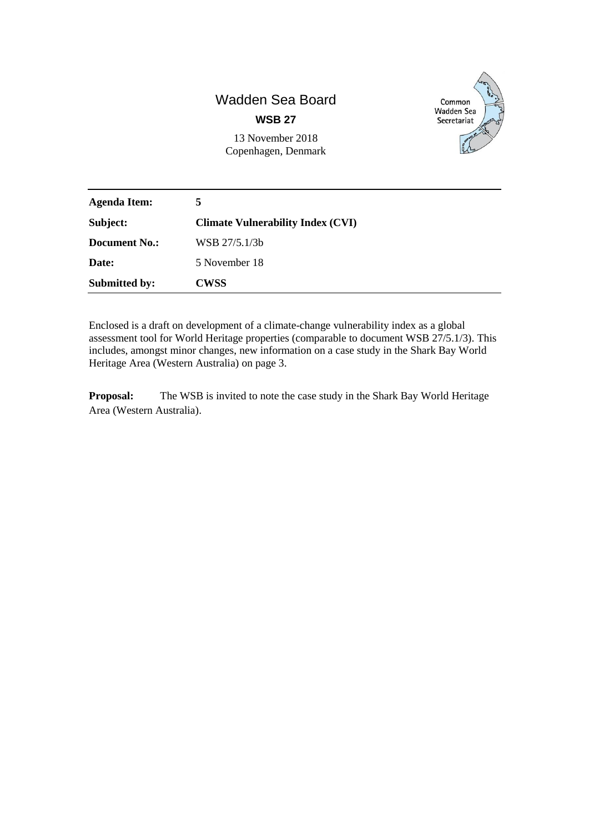# Wadden Sea Board

**WSB 27**

13 November 2018 Copenhagen, Denmark



| <b>Agenda Item:</b>  | 5.                                       |
|----------------------|------------------------------------------|
| Subject:             | <b>Climate Vulnerability Index (CVI)</b> |
| <b>Document No.:</b> | WSB 27/5.1/3b                            |
| Date:                | 5 November 18                            |
| <b>Submitted by:</b> | <b>CWSS</b>                              |

Enclosed is a draft on development of a climate-change vulnerability index as a global assessment tool for World Heritage properties (comparable to document WSB 27/5.1/3). This includes, amongst minor changes, new information on a case study in the Shark Bay World Heritage Area (Western Australia) on page 3.

**Proposal:** The WSB is invited to note the case study in the Shark Bay World Heritage Area (Western Australia).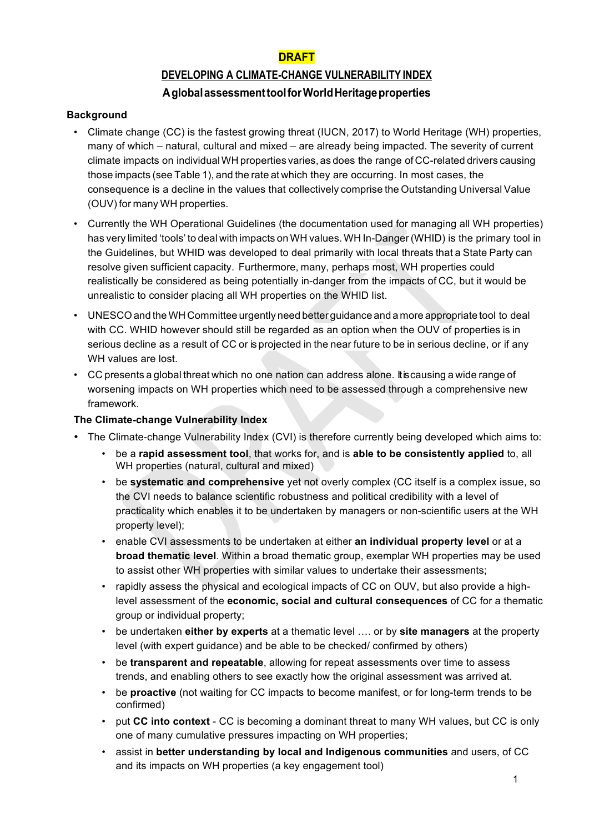### **DRAFT**

## **DEVELOPING A CLIMATE-CHANGE VULNERABILITY INDEX AglobalassessmenttoolforWorldHeritageproperties**

#### **Background**

- Climate change (CC) is the fastest growing threat (IUCN, 2017) to World Heritage (WH) properties, many of which – natural, cultural and mixed – are already being impacted. The severity of current climate impacts on individualWH properties varies, as does the range of CC-related drivers causing those impacts (see Table 1), and the rate at which they are occurring. In most cases, the consequence is a decline in the values that collectively comprise the Outstanding Universal Value (OUV) for many WH properties.
- Currently the WH Operational Guidelines (the documentation used for managing all WH properties) has very limited 'tools' to deal with impacts on WH values. WH In-Danger (WHID) is the primary tool in the Guidelines, but WHID was developed to deal primarily with local threats that a State Party can resolve given sufficient capacity. Furthermore, many, perhaps most, WH properties could realistically be considered as being potentially in-danger from the impacts of CC, but it would be unrealistic to consider placing all WH properties on the WHID list.
- UNESCO and theWH Committee urgently need better guidance and a more appropriate tool to deal with CC. WHID however should still be regarded as an option when the OUV of properties is in serious decline as a result of CC or is projected in the near future to be in serious decline, or if any WH values are lost.
- CC presents a global threat which no one nation can address alone. It is causing a wide range of worsening impacts on WH properties which need to be assessed through a comprehensive new framework.

#### **The Climate-change Vulnerability Index**

- The Climate-change Vulnerability Index (CVI) is therefore currently being developed which aims to:
	- be a **rapid assessment tool**, that works for, and is **able to be consistently applied** to, all WH properties (natural, cultural and mixed)
	- be **systematic and comprehensive** yet not overly complex (CC itself is a complex issue, so the CVI needs to balance scientific robustness and political credibility with a level of practicality which enables it to be undertaken by managers or non-scientific users at the WH property level);
	- enable CVI assessments to be undertaken at either **an individual property level** or at a **broad thematic level**. Within a broad thematic group, exemplar WH properties may be used to assist other WH properties with similar values to undertake their assessments;
	- rapidly assess the physical and ecological impacts of CC on OUV, but also provide a highlevel assessment of the **economic, social and cultural consequences** of CC for a thematic group or individual property;
	- be undertaken **either by experts** at a thematic level …. or by **site managers** at the property level (with expert guidance) and be able to be checked/ confirmed by others)
	- be **transparent and repeatable**, allowing for repeat assessments over time to assess trends, and enabling others to see exactly how the original assessment was arrived at.
	- be **proactive** (not waiting for CC impacts to become manifest, or for long-term trends to be confirmed)
	- put **CC into context** CC is becoming a dominant threat to many WH values, but CC is only one of many cumulative pressures impacting on WH properties;
	- assist in **better understanding by local and Indigenous communities** and users, of CC and its impacts on WH properties (a key engagement tool)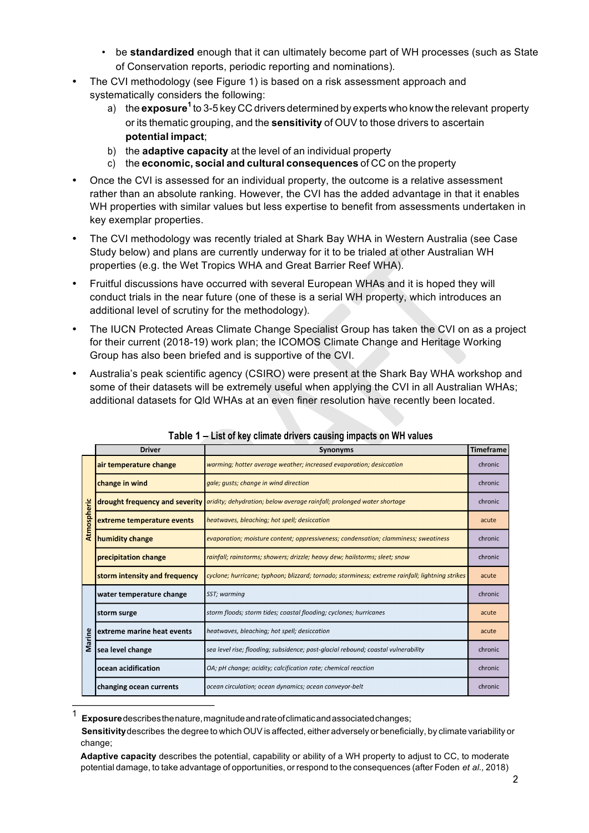- be **standardized** enough that it can ultimately become part of WH processes (such as State of Conservation reports, periodic reporting and nominations).
- The CVI methodology (see Figure 1) is based on a risk assessment approach and systematically considers the following:
	- a) the **exposure<sup>1</sup>** to 3-5 key CC drivers determined by experts who know the relevant property or its thematic grouping, and the **sensitivity** of OUV to those drivers to ascertain **potential impact**;
	- b) the **adaptive capacity** at the level of an individual property
	- c) the **economic, social and cultural consequences** of CC on the property
- Once the CVI is assessed for an individual property, the outcome is a relative assessment rather than an absolute ranking. However, the CVI has the added advantage in that it enables WH properties with similar values but less expertise to benefit from assessments undertaken in key exemplar properties.
- The CVI methodology was recently trialed at Shark Bay WHA in Western Australia (see Case Study below) and plans are currently underway for it to be trialed at other Australian WH properties (e.g. the Wet Tropics WHA and Great Barrier Reef WHA).
- Fruitful discussions have occurred with several European WHAs and it is hoped they will conduct trials in the near future (one of these is a serial WH property, which introduces an additional level of scrutiny for the methodology).
- The IUCN Protected Areas Climate Change Specialist Group has taken the CVI on as a project for their current (2018-19) work plan; the ICOMOS Climate Change and Heritage Working Group has also been briefed and is supportive of the CVI.
- Australia's peak scientific agency (CSIRO) were present at the Shark Bay WHA workshop and some of their datasets will be extremely useful when applying the CVI in all Australian WHAs; additional datasets for Qld WHAs at an even finer resolution have recently been located.

|             | <b>Driver</b>                  | Synonyms                                                                                        | <b>Timeframe</b> |
|-------------|--------------------------------|-------------------------------------------------------------------------------------------------|------------------|
| Atmospheric | air temperature change         | warming; hotter average weather; increased evaporation; desiccation                             | chronic          |
|             | change in wind                 | gale; gusts; change in wind direction                                                           | chronic          |
|             | drought frequency and severity | aridity; dehydration; below average rainfall; prolonged water shortage                          | chronic          |
|             | extreme temperature events     | heatwaves, bleaching; hot spell; desiccation                                                    | acute            |
|             | humidity change                | evaporation; moisture content; oppressiveness; condensation; clamminess; sweatiness             | chronic          |
|             | precipitation change           | rainfall; rainstorms; showers; drizzle; heavy dew; hailstorms; sleet; snow                      | chronic          |
|             | storm intensity and frequency  | cyclone; hurricane; typhoon; blizzard; tornado; storminess; extreme rainfall; lightning strikes | acute            |
| Marine      | water temperature change       | SST; warming                                                                                    | chronic          |
|             | storm surge                    | storm floods; storm tides; coastal flooding; cyclones; hurricanes                               | acute            |
|             | extreme marine heat events     | heatwaves, bleaching; hot spell; desiccation                                                    | acute            |
|             | sea level change               | sea level rise; flooding; subsidence; post-glacial rebound; coastal vulnerability               | chronic          |
|             | ocean acidification            | OA; pH change; acidity; calcification rate; chemical reaction                                   | chronic          |
|             | changing ocean currents        | ocean circulation; ocean dynamics; ocean conveyor-belt                                          | chronic          |

**Table 1 – List of key climate drivers causing impacts on WH values**

<sup>1</sup>**Exposure**describesthenature,magnitudeandrateofclimaticandassociatedchanges;

**Sensitivity**describes the degree to which OUV is affected, either adversely or beneficially, by climate variability or change;

**Adaptive capacity** describes the potential, capability or ability of a WH property to adjust to CC, to moderate potential damage, to take advantage of opportunities, or respond to the consequences (after Foden *et al.,* 2018)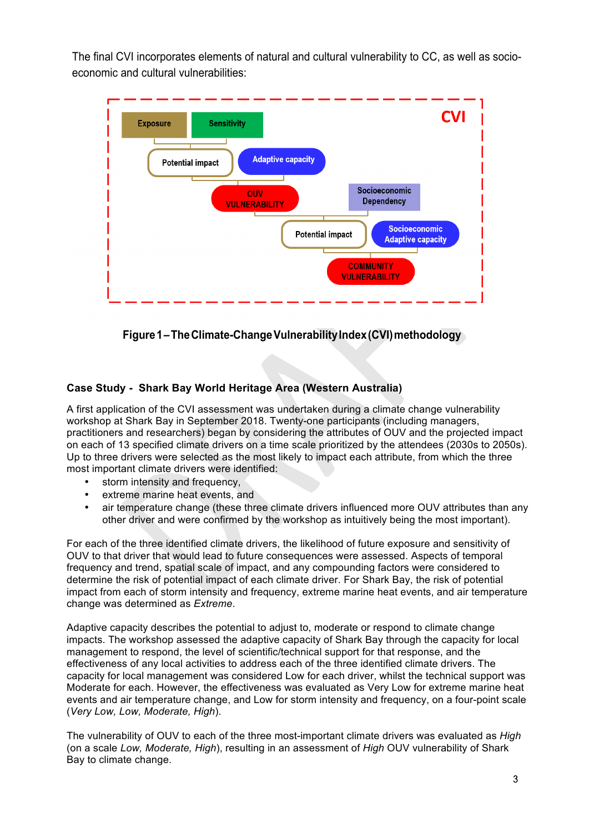The final CVI incorporates elements of natural and cultural vulnerability to CC, as well as socioeconomic and cultural vulnerabilities:



**Figure1–TheClimate-ChangeVulnerabilityIndex(CVI)methodology**

#### **Case Study - Shark Bay World Heritage Area (Western Australia)**

A first application of the CVI assessment was undertaken during a climate change vulnerability workshop at Shark Bay in September 2018. Twenty-one participants (including managers, practitioners and researchers) began by considering the attributes of OUV and the projected impact on each of 13 specified climate drivers on a time scale prioritized by the attendees (2030s to 2050s). Up to three drivers were selected as the most likely to impact each attribute, from which the three most important climate drivers were identified:

- storm intensity and frequency,
- extreme marine heat events, and
- air temperature change (these three climate drivers influenced more OUV attributes than any other driver and were confirmed by the workshop as intuitively being the most important).

For each of the three identified climate drivers, the likelihood of future exposure and sensitivity of OUV to that driver that would lead to future consequences were assessed. Aspects of temporal frequency and trend, spatial scale of impact, and any compounding factors were considered to determine the risk of potential impact of each climate driver. For Shark Bay, the risk of potential impact from each of storm intensity and frequency, extreme marine heat events, and air temperature change was determined as *Extreme*.

Adaptive capacity describes the potential to adjust to, moderate or respond to climate change impacts. The workshop assessed the adaptive capacity of Shark Bay through the capacity for local management to respond, the level of scientific/technical support for that response, and the effectiveness of any local activities to address each of the three identified climate drivers. The capacity for local management was considered Low for each driver, whilst the technical support was Moderate for each. However, the effectiveness was evaluated as Very Low for extreme marine heat events and air temperature change, and Low for storm intensity and frequency, on a four-point scale (*Very Low, Low, Moderate, High*).

The vulnerability of OUV to each of the three most-important climate drivers was evaluated as *High* (on a scale *Low, Moderate, High*), resulting in an assessment of *High* OUV vulnerability of Shark Bay to climate change.